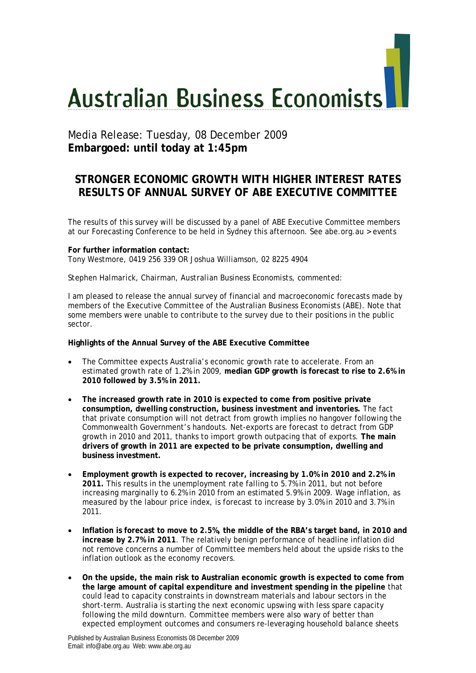# **Australian Business Economists**

# Media Release: Tuesday, 08 December 2009 **Embargoed: until today at 1:45pm**

# **STRONGER ECONOMIC GROWTH WITH HIGHER INTEREST RATES RESULTS OF ANNUAL SURVEY OF ABE EXECUTIVE COMMITTEE**

The results of this survey will be discussed by a panel of ABE Executive Committee members at our Forecasting Conference to be held in Sydney this afternoon. See abe.org.au > events

### **For further information contact:**  Tony Westmore, 0419 256 339 OR Joshua Williamson, 02 8225 4904

### *Stephen Halmarick, Chairman, Australian Business Economists, commented:*

I am pleased to release the annual survey of financial and macroeconomic forecasts made by members of the Executive Committee of the Australian Business Economists (ABE). Note that some members were unable to contribute to the survey due to their positions in the public sector.

## **Highlights of the Annual Survey of the ABE Executive Committee**

- The Committee expects Australia's economic growth rate to accelerate. From an estimated growth rate of 1.2% in 2009, **median GDP growth is forecast to rise to 2.6% in 2010 followed by 3.5% in 2011.**
- **The increased growth rate in 2010 is expected to come from positive private consumption, dwelling construction, business investment and inventories.** The fact that private consumption will not detract from growth implies no hangover following the Commonwealth Government's handouts. Net-exports are forecast to detract from GDP growth in 2010 and 2011, thanks to import growth outpacing that of exports. **The main drivers of growth in 2011 are expected to be private consumption, dwelling and business investment.**
- **Employment growth is expected to recover, increasing by 1.0% in 2010 and 2.2% in 2011.** This results in the unemployment rate falling to 5.7% in 2011, but not before increasing marginally to 6.2% in 2010 from an estimated 5.9% in 2009. Wage inflation, as measured by the labour price index, is forecast to increase by 3.0% in 2010 and 3.7% in 2011.
- **Inflation is forecast to move to 2.5%, the middle of the RBA's target band, in 2010 and increase by 2.7% in 2011**. The relatively benign performance of headline inflation did not remove concerns a number of Committee members held about the upside risks to the inflation outlook as the economy recovers.
- **On the upside, the main risk to Australian economic growth is expected to come from the large amount of capital expenditure and investment spending in the pipeline** that could lead to capacity constraints in downstream materials and labour sectors in the short-term. Australia is starting the next economic upswing with less spare capacity following the mild downturn. Committee members were also wary of better than expected employment outcomes and consumers re-leveraging household balance sheets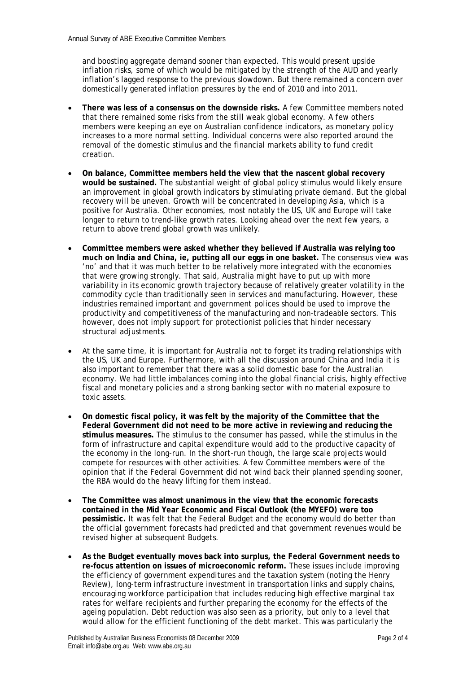and boosting aggregate demand sooner than expected. This would present upside inflation risks, some of which would be mitigated by the strength of the AUD and yearly inflation's lagged response to the previous slowdown. But there remained a concern over domestically generated inflation pressures by the end of 2010 and into 2011.

- **There was less of a consensus on the downside risks.** A few Committee members noted that there remained some risks from the still weak global economy. A few others members were keeping an eye on Australian confidence indicators, as monetary policy increases to a more normal setting. Individual concerns were also reported around the removal of the domestic stimulus and the financial markets ability to fund credit creation.
- **On balance, Committee members held the view that the nascent global recovery would be sustained.** The substantial weight of global policy stimulus would likely ensure an improvement in global growth indicators by stimulating private demand. But the global recovery will be uneven. Growth will be concentrated in developing Asia, which is a positive for Australia. Other economies, most notably the US, UK and Europe will take longer to return to trend-like growth rates. Looking ahead over the next few years, a return to above trend global growth was unlikely.
- **Committee members were asked whether they believed if Australia was relying too much on India and China, ie, putting all our eggs in one basket.** The consensus view was 'no' and that it was much better to be relatively more integrated with the economies that were growing strongly. That said, Australia might have to put up with more variability in its economic growth trajectory because of relatively greater volatility in the commodity cycle than traditionally seen in services and manufacturing. However, these industries remained important and government polices should be used to improve the productivity and competitiveness of the manufacturing and non-tradeable sectors. This however, does not imply support for protectionist policies that hinder necessary structural adjustments.
- At the same time, it is important for Australia not to forget its trading relationships with the US, UK and Europe. Furthermore, with all the discussion around China and India it is also important to remember that there was a solid domestic base for the Australian economy. We had little imbalances coming into the global financial crisis, highly effective fiscal and monetary policies and a strong banking sector with no material exposure to toxic assets.
- **On domestic fiscal policy, it was felt by the majority of the Committee that the Federal Government did not need to be more active in reviewing and reducing the stimulus measures.** The stimulus to the consumer has passed, while the stimulus in the form of infrastructure and capital expenditure would add to the productive capacity of the economy in the long-run. In the short-run though, the large scale projects would compete for resources with other activities. A few Committee members were of the opinion that if the Federal Government did not wind back their planned spending sooner, the RBA would do the heavy lifting for them instead.
- **The Committee was almost unanimous in the view that the economic forecasts contained in the Mid Year Economic and Fiscal Outlook (the MYEFO) were too pessimistic.** It was felt that the Federal Budget and the economy would do better than the official government forecasts had predicted and that government revenues would be revised higher at subsequent Budgets.
- **As the Budget eventually moves back into surplus, the Federal Government needs to re-focus attention on issues of microeconomic reform.** These issues include improving the efficiency of government expenditures and the taxation system (noting the Henry Review), long-term infrastructure investment in transportation links and supply chains, encouraging workforce participation that includes reducing high effective marginal tax rates for welfare recipients and further preparing the economy for the effects of the ageing population. Debt reduction was also seen as a priority, but only to a level that would allow for the efficient functioning of the debt market. This was particularly the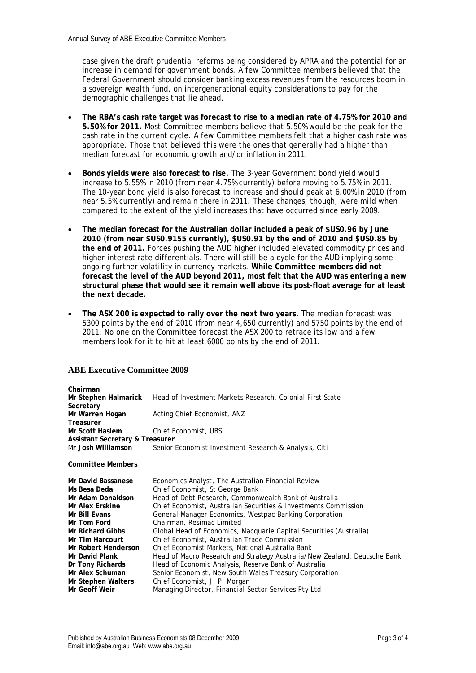case given the draft prudential reforms being considered by APRA and the potential for an increase in demand for government bonds. A few Committee members believed that the Federal Government should consider banking excess revenues from the resources boom in a sovereign wealth fund, on intergenerational equity considerations to pay for the demographic challenges that lie ahead.

- **The RBA's cash rate target was forecast to rise to a median rate of 4.75% for 2010 and 5.50% for 2011.** Most Committee members believe that 5.50% would be the peak for the cash rate in the current cycle. A few Committee members felt that a higher cash rate was appropriate. Those that believed this were the ones that generally had a higher than median forecast for economic growth and/or inflation in 2011.
- **Bonds yields were also forecast to rise.** The 3-year Government bond yield would increase to 5.55% in 2010 (from near 4.75% currently) before moving to 5.75% in 2011. The 10-year bond yield is also forecast to increase and should peak at 6.00% in 2010 (from near 5.5% currently) and remain there in 2011. These changes, though, were mild when compared to the extent of the yield increases that have occurred since early 2009.
- **The median forecast for the Australian dollar included a peak of \$US0.96 by June 2010 (from near \$US0.9155 currently), \$US0.91 by the end of 2010 and \$US0.85 by the end of 2011.** Forces pushing the AUD higher included elevated commodity prices and higher interest rate differentials. There will still be a cycle for the AUD implying some ongoing further volatility in currency markets. **While Committee members did not forecast the level of the AUD beyond 2011, most felt that the AUD was entering a new structural phase that would see it remain well above its post-float average for at least the next decade.**
- **The ASX 200 is expected to rally over the next two years.** The median forecast was 5300 points by the end of 2010 (from near 4,650 currently) and 5750 points by the end of 2011. No one on the Committee forecast the ASX 200 to retrace its low and a few members look for it to hit at least 6000 points by the end of 2011.

## **ABE Executive Committee 2009**

| Chairman                        |                                                                          |
|---------------------------------|--------------------------------------------------------------------------|
| Mr Stephen Halmarick            | Head of Investment Markets Research, Colonial First State                |
| Secretary                       |                                                                          |
| Mr Warren Hogan                 | Acting Chief Economist, ANZ                                              |
| <b>Treasurer</b>                |                                                                          |
| Mr Scott Haslem                 | Chief Economist, UBS                                                     |
| Assistant Secretary & Treasurer |                                                                          |
| Mr Josh Williamson              | Senior Economist Investment Research & Analysis, Citi                    |
| <b>Committee Members</b>        |                                                                          |
| Mr David Bassanese              | Economics Analyst, The Australian Financial Review                       |
| Ms Besa Deda                    | Chief Economist, St George Bank                                          |
| Mr Adam Donaldson               | Head of Debt Research, Commonwealth Bank of Australia                    |
| Mr Alex Erskine                 | Chief Economist, Australian Securities & Investments Commission          |
| Mr Bill Evans                   | General Manager Economics, Westpac Banking Corporation                   |
| Mr Tom Ford                     | Chairman, Resimac Limited                                                |
| <b>Mr Richard Gibbs</b>         | Global Head of Economics, Macquarie Capital Securities (Australia)       |
| Mr Tim Harcourt                 | Chief Economist, Australian Trade Commission                             |
| Mr Robert Henderson             | Chief Economist Markets, National Australia Bank                         |
| Mr David Plank                  | Head of Macro Research and Strategy Australia/New Zealand, Deutsche Bank |
| Dr Tony Richards                | Head of Economic Analysis, Reserve Bank of Australia                     |
| Mr Alex Schuman                 | Senior Economist, New South Wales Treasury Corporation                   |
| Mr Stephen Walters              | Chief Economist, J. P. Morgan                                            |
| Mr Geoff Weir                   | Managing Director, Financial Sector Services Pty Ltd                     |